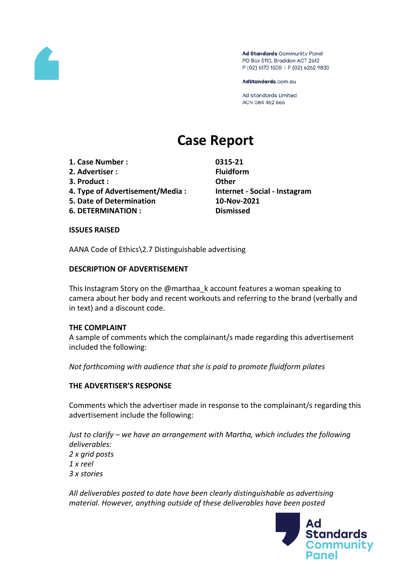

Ad Standards Community Panel PO Box 5110, Braddon ACT 2612 P (02) 6173 1500 | F (02) 6262 9833

AdStandards.com.au

Ad Standards Limited ACN 084 452 666

# **Case Report**

- **1. Case Number : 0315-21**
- **2. Advertiser : Fluidform**
- **3. Product : Other**
- **4. Type of Advertisement/Media : Internet - Social - Instagram**
- **5. Date of Determination 10-Nov-2021**
- **6. DETERMINATION : Dismissed**

## **ISSUES RAISED**

AANA Code of Ethics\2.7 Distinguishable advertising

## **DESCRIPTION OF ADVERTISEMENT**

This Instagram Story on the @marthaa\_k account features a woman speaking to camera about her body and recent workouts and referring to the brand (verbally and in text) and a discount code.

## **THE COMPLAINT**

A sample of comments which the complainant/s made regarding this advertisement included the following:

*Not forthcoming with audience that she is paid to promote fluidform pilates*

## **THE ADVERTISER'S RESPONSE**

Comments which the advertiser made in response to the complainant/s regarding this advertisement include the following:

*Just to clarify – we have an arrangement with Martha, which includes the following deliverables: 2 x grid posts 1 x reel 3 x stories*

*All deliverables posted to date have been clearly distinguishable as advertising material. However, anything outside of these deliverables have been posted*

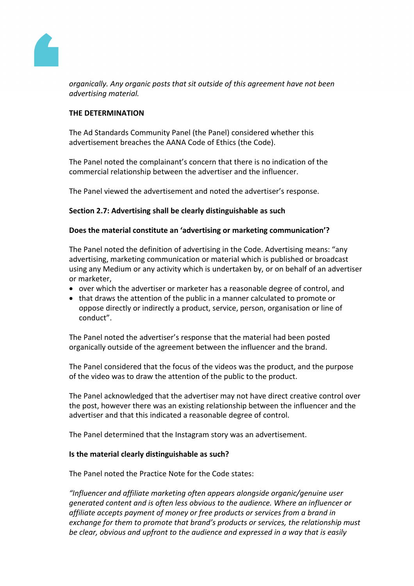

*organically. Any organic posts that sit outside of this agreement have not been advertising material.*

## **THE DETERMINATION**

The Ad Standards Community Panel (the Panel) considered whether this advertisement breaches the AANA Code of Ethics (the Code).

The Panel noted the complainant's concern that there is no indication of the commercial relationship between the advertiser and the influencer.

The Panel viewed the advertisement and noted the advertiser's response.

## **Section 2.7: Advertising shall be clearly distinguishable as such**

## **Does the material constitute an 'advertising or marketing communication'?**

The Panel noted the definition of advertising in the Code. Advertising means: "any advertising, marketing communication or material which is published or broadcast using any Medium or any activity which is undertaken by, or on behalf of an advertiser or marketer,

- over which the advertiser or marketer has a reasonable degree of control, and
- that draws the attention of the public in a manner calculated to promote or oppose directly or indirectly a product, service, person, organisation or line of conduct".

The Panel noted the advertiser's response that the material had been posted organically outside of the agreement between the influencer and the brand.

The Panel considered that the focus of the videos was the product, and the purpose of the video was to draw the attention of the public to the product.

The Panel acknowledged that the advertiser may not have direct creative control over the post, however there was an existing relationship between the influencer and the advertiser and that this indicated a reasonable degree of control.

The Panel determined that the Instagram story was an advertisement.

## **Is the material clearly distinguishable as such?**

The Panel noted the Practice Note for the Code states:

*"Influencer and affiliate marketing often appears alongside organic/genuine user generated content and is often less obvious to the audience. Where an influencer or affiliate accepts payment of money or free products or services from a brand in exchange for them to promote that brand's products or services, the relationship must be clear, obvious and upfront to the audience and expressed in a way that is easily*